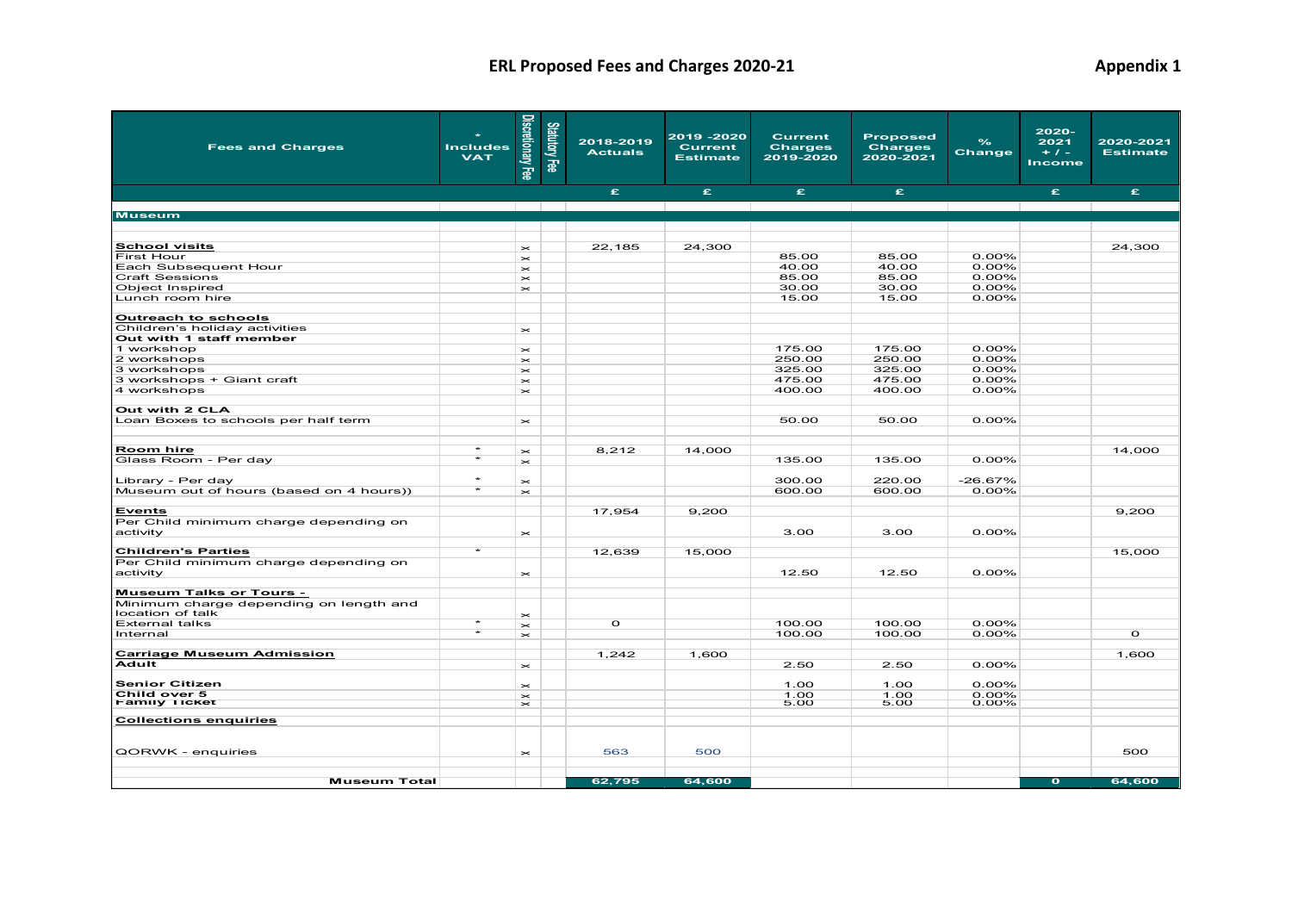| <b>Fees and Charges</b>                   | <b>Includes</b><br><b>VAT</b> | Discretionary Fee                                                        | Statutory Fee | 2018-2019<br><b>Actuals</b> | 2019 -2020<br><b>Current</b><br><b>Estimate</b> | <b>Current</b><br><b>Charges</b><br>2019-2020 | <b>Proposed</b><br><b>Charges</b><br>2020-2021 | $\frac{9}{6}$<br>Change | 2020-<br>2021<br>$+ 1 -$<br>Income | 2020-2021<br><b>Estimate</b> |
|-------------------------------------------|-------------------------------|--------------------------------------------------------------------------|---------------|-----------------------------|-------------------------------------------------|-----------------------------------------------|------------------------------------------------|-------------------------|------------------------------------|------------------------------|
|                                           |                               |                                                                          |               | £                           | £.                                              | £                                             | £.                                             |                         | £.                                 | £.                           |
|                                           |                               | the contract of the contract of                                          |               |                             |                                                 |                                               |                                                |                         |                                    |                              |
| <b>Museum</b>                             |                               |                                                                          |               |                             |                                                 |                                               |                                                |                         |                                    |                              |
|                                           |                               |                                                                          |               |                             |                                                 |                                               |                                                |                         |                                    |                              |
| <b>School visits</b>                      |                               | $\asymp$                                                                 |               | 22,185                      | 24,300                                          |                                               |                                                |                         |                                    | 24,300                       |
| First Hour                                |                               | $\asymp$                                                                 |               |                             |                                                 | 85.00                                         | 85.00                                          | 0.00%                   |                                    |                              |
| Each Subsequent Hour                      |                               | $\mathord{\vphantom{1}}^{\text{}}$                                       |               |                             |                                                 | 40.00                                         | 40.00                                          | $0.00\%$                |                                    |                              |
| <b>Craft Sessions</b><br>Object Inspired  |                               | $\!$                                                                     |               |                             |                                                 | 85.00<br>30.00                                | 85.00<br>30.00                                 | 0.00%<br>0.00%          |                                    |                              |
| Lunch room hire                           |                               | $\!$                                                                     |               |                             |                                                 | 15.00                                         | 15.00                                          | 0.00%                   |                                    |                              |
|                                           |                               |                                                                          |               |                             |                                                 |                                               |                                                |                         |                                    |                              |
| <b>Outreach to schools</b>                |                               |                                                                          |               |                             |                                                 |                                               |                                                |                         |                                    |                              |
| Children's holiday activities             |                               | $\!$                                                                     |               |                             |                                                 |                                               |                                                |                         |                                    |                              |
| Out with 1 staff member                   |                               |                                                                          |               |                             |                                                 |                                               |                                                |                         |                                    |                              |
| 1 workshop<br>2 workshops                 |                               | $\mathord{\vphantom{1}}^{\text{}}$<br>$\!$                               |               |                             |                                                 | 175.00<br>250.00                              | 175.00<br>250.00                               | 0.00%<br>0.00%          |                                    |                              |
| 3 workshops                               |                               | $\mathord{\vphantom{1}}^{\text{}}$                                       |               |                             |                                                 | 325.00                                        | 325.00                                         | $0.00\%$                |                                    |                              |
| 3 workshops + Giant craft                 |                               | $\mathord{\vphantom{1}}^{\text{}}$                                       |               |                             |                                                 | 475.00                                        | 475.00                                         | 0.00%                   |                                    |                              |
| 4 workshops                               |                               | $\mathord{\vphantom{1}}^{\text{}}$                                       |               |                             |                                                 | 400.00                                        | 400.00                                         | 0.00%                   |                                    |                              |
|                                           |                               |                                                                          |               |                             |                                                 |                                               |                                                |                         |                                    |                              |
| Out with 2 CLA                            |                               |                                                                          |               |                             |                                                 | 50.00                                         | 50.00                                          | 0.00%                   |                                    |                              |
| Loan Boxes to schools per half term       |                               | $\mathord{\vphantom{1}}^{\mathbf{K}}$                                    |               |                             |                                                 |                                               |                                                |                         |                                    |                              |
|                                           |                               |                                                                          |               |                             |                                                 |                                               |                                                |                         |                                    |                              |
| <b>Room hire</b>                          | $\star$                       | $\!$                                                                     |               | 8,212                       | 14,000                                          |                                               |                                                |                         |                                    | 14,000                       |
| Glass Room - Per day                      | $\star$                       | $\!$                                                                     |               |                             |                                                 | 135.00                                        | 135.00                                         | 0.00%                   |                                    |                              |
| Library - Per day                         | $\star$                       |                                                                          |               |                             |                                                 | 300.00                                        | 220.00                                         | $-26.67%$               |                                    |                              |
| Museum out of hours (based on 4 hours))   | $\star$                       | $\mathord{\vphantom{1}}^{\text{}}$<br>$\mathord{\vphantom{1}}^{\text{}}$ |               |                             |                                                 | 600.00                                        | 600.00                                         | $0.00\%$                |                                    |                              |
|                                           |                               |                                                                          |               |                             |                                                 |                                               |                                                |                         |                                    |                              |
| <b>Events</b>                             |                               |                                                                          |               | 17,954                      | 9,200                                           |                                               |                                                |                         |                                    | 9,200                        |
| Per Child minimum charge depending on     |                               |                                                                          |               |                             |                                                 |                                               |                                                |                         |                                    |                              |
| activity                                  |                               | $\!$                                                                     |               |                             |                                                 | 3.00                                          | 3.00                                           | 0.00%                   |                                    |                              |
| <b>Children's Parties</b>                 | $\star$                       |                                                                          |               | 12,639                      | 15,000                                          |                                               |                                                |                         |                                    | 15,000                       |
| Per Child minimum charge depending on     |                               |                                                                          |               |                             |                                                 |                                               |                                                |                         |                                    |                              |
| activity                                  |                               | $\!$                                                                     |               |                             |                                                 | 12.50                                         | 12.50                                          | 0.00%                   |                                    |                              |
|                                           |                               |                                                                          |               |                             |                                                 |                                               |                                                |                         |                                    |                              |
| <b>Museum Talks or Tours -</b>            |                               |                                                                          |               |                             |                                                 |                                               |                                                |                         |                                    |                              |
| Minimum charge depending on length and    |                               |                                                                          |               |                             |                                                 |                                               |                                                |                         |                                    |                              |
| location of talk<br><b>External talks</b> |                               | $\!$                                                                     |               | $\circ$                     |                                                 | 100.00                                        | 100.00                                         | 0.00%                   |                                    |                              |
| Internal                                  | $\star$                       | $\!$<br>$\!$                                                             |               |                             |                                                 | 100.00                                        | 100.00                                         | $0.00\%$                |                                    | $\circ$                      |
|                                           |                               |                                                                          |               |                             |                                                 |                                               |                                                |                         |                                    |                              |
| <b>Carriage Museum Admission</b>          |                               |                                                                          |               | 1,242                       | 1,600                                           |                                               |                                                |                         |                                    | 1,600                        |
| Adult                                     |                               | $\mathord{\vphantom{1}}^{\text{}}$                                       |               |                             |                                                 | 2.50                                          | 2.50                                           | 0.00%                   |                                    |                              |
| <b>Senior Citizen</b>                     |                               |                                                                          |               |                             |                                                 | 1.00                                          | 1.00                                           | 0.00%                   |                                    |                              |
| Child over 5                              |                               | $\mathord{\vphantom{1}}^{\mathbf{<}}$<br>$\!$                            |               |                             |                                                 | 1.00                                          | 1.00                                           | 0.00%                   |                                    |                              |
| <b>Family Ticket</b>                      |                               | $\mathord{\vphantom{1}}^{\text{}}$                                       |               |                             |                                                 | 5.00                                          | 5.00                                           | $0.00\%$                |                                    |                              |
| <b>Collections enquiries</b>              |                               |                                                                          |               |                             |                                                 |                                               |                                                |                         |                                    |                              |
|                                           |                               |                                                                          |               |                             |                                                 |                                               |                                                |                         |                                    |                              |
|                                           |                               |                                                                          |               |                             |                                                 |                                               |                                                |                         |                                    |                              |
| QORWK - enquiries                         |                               | $\mathord{\vphantom{1}}^{\text{}}$                                       |               | 563                         | 500                                             |                                               |                                                |                         |                                    | 500                          |
|                                           |                               |                                                                          |               |                             |                                                 |                                               |                                                |                         |                                    |                              |
| <b>Museum Total</b>                       |                               |                                                                          |               | 62,795                      | 64,600                                          |                                               |                                                |                         | $\bullet$                          | 64,600                       |
|                                           |                               |                                                                          |               |                             |                                                 |                                               |                                                |                         |                                    |                              |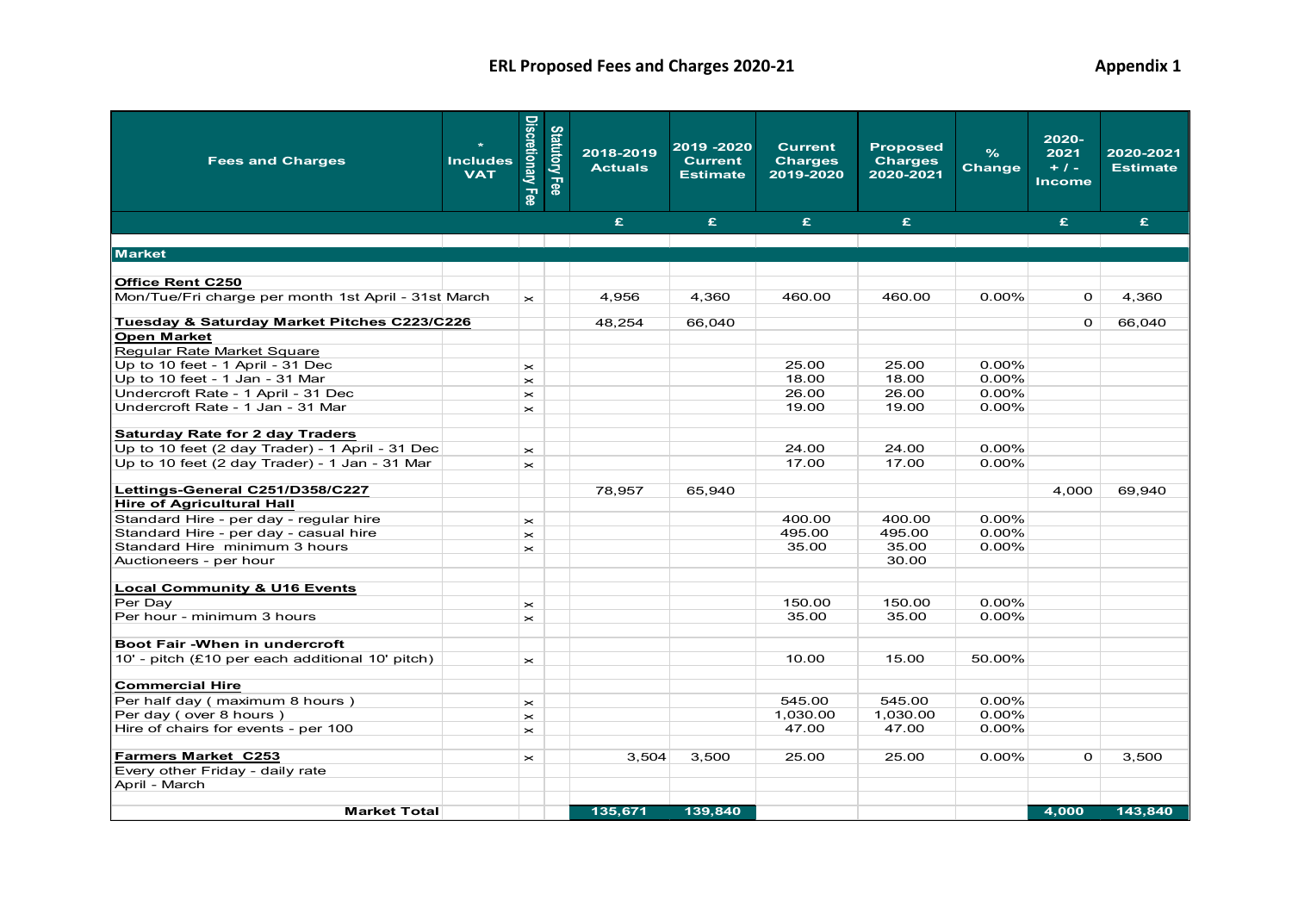| <b>Fees and Charges</b>                             | <b>Includes</b><br><b>VAT</b> | Discretionary Fee                  | <b>Statutory Fee</b> | 2018-2019<br><b>Actuals</b> | 2019 - 2020<br><b>Current</b><br><b>Estimate</b> | <b>Current</b><br><b>Charges</b><br>2019-2020 | <b>Proposed</b><br><b>Charges</b><br>2020-2021 | $\frac{9}{6}$<br><b>Change</b> | 2020-<br>2021<br>$+1-$<br><b>Income</b> | 2020-2021<br><b>Estimate</b> |
|-----------------------------------------------------|-------------------------------|------------------------------------|----------------------|-----------------------------|--------------------------------------------------|-----------------------------------------------|------------------------------------------------|--------------------------------|-----------------------------------------|------------------------------|
|                                                     |                               |                                    |                      | £.                          | £.                                               | £.                                            | £                                              |                                | £.                                      | £.                           |
|                                                     |                               |                                    |                      |                             |                                                  |                                               |                                                |                                |                                         |                              |
| <b>Market</b>                                       |                               |                                    |                      |                             |                                                  |                                               |                                                |                                |                                         |                              |
|                                                     |                               |                                    |                      |                             |                                                  |                                               |                                                |                                |                                         |                              |
| <b>Office Rent C250</b>                             |                               |                                    |                      |                             |                                                  |                                               |                                                |                                |                                         |                              |
| Mon/Tue/Fri charge per month 1st April - 31st March |                               | $\mathbf{\times}$                  |                      | 4,956                       | 4,360                                            | 460.00                                        | 460.00                                         | $0.00\%$                       | $\Omega$                                | 4,360                        |
| Tuesday & Saturday Market Pitches C223/C226         |                               |                                    |                      | 48,254                      | 66,040                                           |                                               |                                                |                                | $\overline{O}$                          | 66,040                       |
| <b>Open Market</b>                                  |                               |                                    |                      |                             |                                                  |                                               |                                                |                                |                                         |                              |
| Regular Rate Market Square                          |                               |                                    |                      |                             |                                                  |                                               |                                                |                                |                                         |                              |
| Up to 10 feet - 1 April - 31 Dec                    |                               | $\mathord{\Join}$                  |                      |                             |                                                  | 25.00                                         | 25.00                                          | $0.00\%$                       |                                         |                              |
| Up to 10 feet - 1 Jan - 31 Mar                      |                               | $\mathord{\vphantom{1}}^{\text{}}$ |                      |                             |                                                  | 18.00                                         | 18.00                                          | $0.00\%$                       |                                         |                              |
| Undercroft Rate - 1 April - 31 Dec                  |                               | $\mathord{\Join}$                  |                      |                             |                                                  | 26.00                                         | 26.00                                          | $0.00\%$                       |                                         |                              |
| Undercroft Rate - 1 Jan - 31 Mar                    |                               | $\mathord{\Join}$                  |                      |                             |                                                  | 19.00                                         | 19.00                                          | $0.00\%$                       |                                         |                              |
| <b>Saturday Rate for 2 day Traders</b>              |                               |                                    |                      |                             |                                                  |                                               |                                                |                                |                                         |                              |
| Up to 10 feet (2 day Trader) - 1 April - 31 Dec     |                               | $\mathord{\Join}$                  |                      |                             |                                                  | 24.00                                         | 24.00                                          | 0.00%                          |                                         |                              |
| Up to 10 feet (2 day Trader) - 1 Jan - 31 Mar       |                               | $\mathord{\Join}$                  |                      |                             |                                                  | 17.00                                         | 17.00                                          | 0.00%                          |                                         |                              |
| Lettings-General C251/D358/C227                     |                               |                                    |                      | 78.957                      | 65.940                                           |                                               |                                                |                                | 4.000                                   | 69.940                       |
| <b>Hire of Agricultural Hall</b>                    |                               |                                    |                      |                             |                                                  |                                               |                                                |                                |                                         |                              |
| Standard Hire - per day - regular hire              |                               | $\mathord{\thicksim}$              |                      |                             |                                                  | 400.00                                        | 400.00                                         | $0.00\%$                       |                                         |                              |
| Standard Hire - per day - casual hire               |                               | $\times$                           |                      |                             |                                                  | 495.00                                        | 495.00                                         | $0.00\%$                       |                                         |                              |
| Standard Hire minimum 3 hours                       |                               | $\mathbf{\times}$                  |                      |                             |                                                  | 35.00                                         | 35.00                                          | $0.00\%$                       |                                         |                              |
| Auctioneers - per hour                              |                               |                                    |                      |                             |                                                  |                                               | 30.00                                          |                                |                                         |                              |
|                                                     |                               |                                    |                      |                             |                                                  |                                               |                                                |                                |                                         |                              |
| <b>Local Community &amp; U16 Events</b>             |                               |                                    |                      |                             |                                                  |                                               |                                                |                                |                                         |                              |
| Per Day                                             |                               | $\pmb{\times}$                     |                      |                             |                                                  | 150.00                                        | 150.00                                         | $0.00\%$                       |                                         |                              |
| Per hour - minimum 3 hours                          |                               | $\mathord{\Join}$                  |                      |                             |                                                  | 35.00                                         | 35.00                                          | $0.00\%$                       |                                         |                              |
|                                                     |                               |                                    |                      |                             |                                                  |                                               |                                                |                                |                                         |                              |
| Boot Fair - When in undercroft                      |                               |                                    |                      |                             |                                                  |                                               |                                                |                                |                                         |                              |
| 10' - pitch (£10 per each additional 10' pitch)     |                               | $\mathord{\Join}$                  |                      |                             |                                                  | 10.00                                         | 15.00                                          | 50.00%                         |                                         |                              |
| <b>Commercial Hire</b>                              |                               |                                    |                      |                             |                                                  |                                               |                                                |                                |                                         |                              |
| Per half day (maximum 8 hours)                      |                               | $\mathord{\Join}$                  |                      |                             |                                                  | 545.00                                        | 545.00                                         | $0.00\%$                       |                                         |                              |
| Per day (over 8 hours)                              |                               | $\mathord{\Join}$                  |                      |                             |                                                  | 1,030.00                                      | 1,030.00                                       | 0.00%                          |                                         |                              |
| Hire of chairs for events - per 100                 |                               | $\mathord{\Join}$                  |                      |                             |                                                  | 47.00                                         | 47.00                                          | $0.00\%$                       |                                         |                              |
| <b>Farmers Market C253</b>                          |                               | $\mathord{\Join}$                  |                      | 3,504                       | 3.500                                            | 25.00                                         | 25.00                                          | $0.00\%$                       | $\Omega$                                | 3,500                        |
| Every other Friday - daily rate                     |                               |                                    |                      |                             |                                                  |                                               |                                                |                                |                                         |                              |
| April - March                                       |                               |                                    |                      |                             |                                                  |                                               |                                                |                                |                                         |                              |
|                                                     |                               |                                    |                      |                             |                                                  |                                               |                                                |                                |                                         |                              |
| <b>Market Total</b>                                 |                               |                                    |                      | 135.671                     | 139.840                                          |                                               |                                                |                                | 4.000                                   | 143.840                      |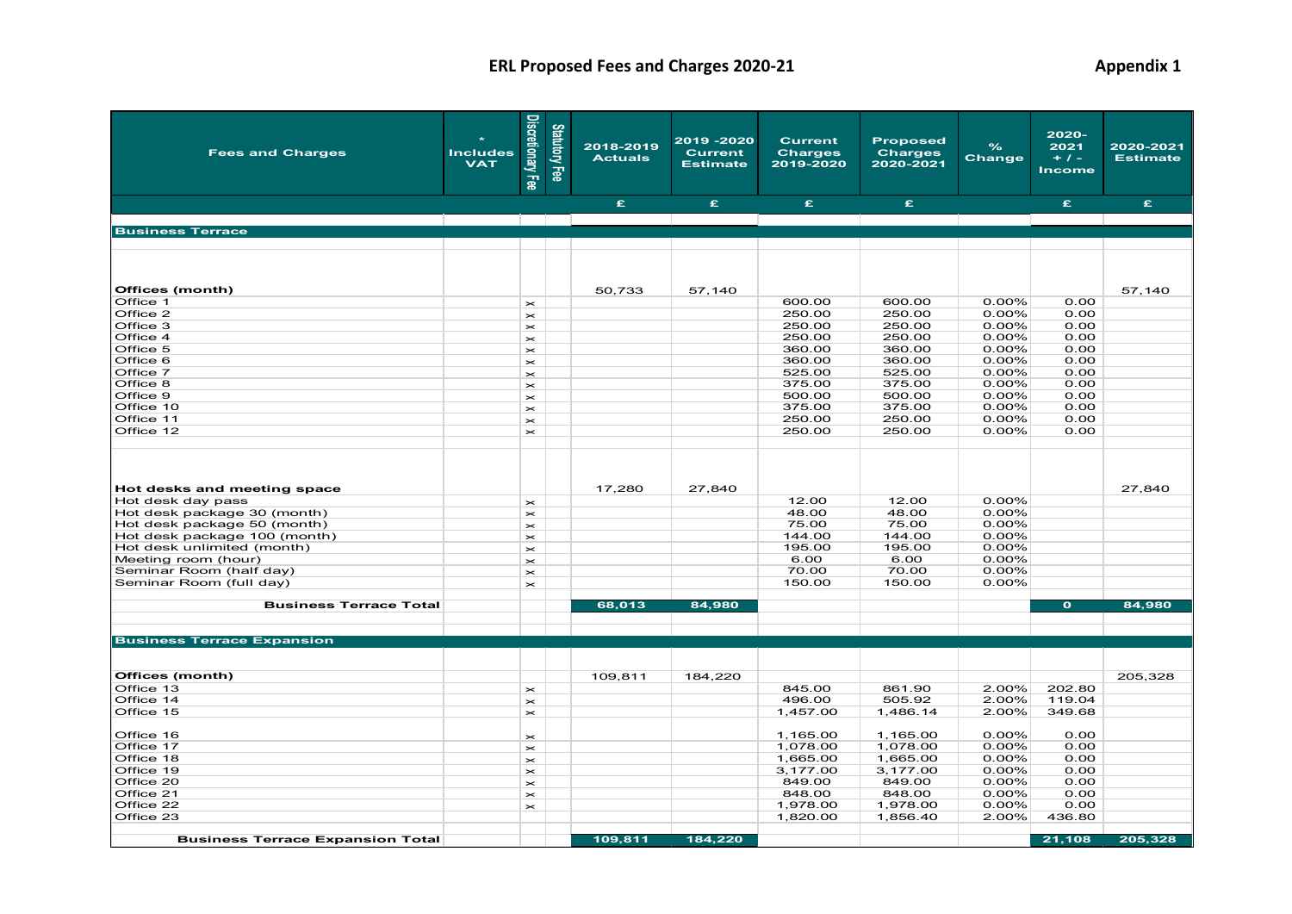| <b>Fees and Charges</b>                 | <b>Includes</b><br><b>VAT</b> | Discretionary Fee                  | Statutory Fee | 2018-2019<br><b>Actuals</b> | 2019 - 2020<br><b>Current</b><br><b>Estimate</b> | <b>Current</b><br><b>Charges</b><br>2019-2020 | <b>Proposed</b><br><b>Charges</b><br>2020-2021 | $\frac{9}{6}$<br>Change | 2020-<br>2021<br>$+1-$<br><b>Income</b> | 2020-2021<br><b>Estimate</b> |
|-----------------------------------------|-------------------------------|------------------------------------|---------------|-----------------------------|--------------------------------------------------|-----------------------------------------------|------------------------------------------------|-------------------------|-----------------------------------------|------------------------------|
|                                         |                               |                                    |               | £.                          | £.                                               | £.                                            | £.                                             |                         | £.                                      | £                            |
|                                         |                               | <b>Contract Contract</b>           |               |                             |                                                  |                                               |                                                |                         |                                         |                              |
| <b>Business Terrace</b>                 |                               |                                    |               |                             |                                                  |                                               |                                                |                         |                                         |                              |
|                                         |                               |                                    |               |                             |                                                  |                                               |                                                |                         |                                         |                              |
| Offices (month)                         |                               |                                    |               | 50,733                      | 57,140                                           |                                               |                                                |                         |                                         | 57,140                       |
| Office 1                                |                               | $\mathord{\vphantom{1}}^{\text{}}$ |               |                             |                                                  | 600.00                                        | 600.00                                         | $0.00\%$                | 0.00                                    |                              |
| Office 2                                |                               | $\!$                               |               |                             |                                                  | 250.00                                        | 250.00                                         | 0.00%                   | 0.00                                    |                              |
| Office 3                                |                               | $\mathord{\thicksim}$              |               |                             |                                                  | 250.00                                        | 250.00                                         | $0.00\%$                | 0.00                                    |                              |
| Office 4                                |                               | $\!$                               |               |                             |                                                  | 250.00                                        | 250.00                                         | $0.00\%$                | 0.00                                    |                              |
| Office 5                                |                               | $\mathord{\thicksim}$              |               |                             |                                                  | 360.00                                        | 360.00                                         | $0.00\%$                | 0.00                                    |                              |
| Office 6                                |                               | $\!$                               |               |                             |                                                  | 360.00                                        | 360.00                                         | 0.00%                   | 0.00                                    |                              |
| Office 7                                |                               | $\!$                               |               |                             |                                                  | 525.00                                        | 525.00                                         | 0.00%                   | 0.00                                    |                              |
| Office 8                                |                               | $\mathord{\thicksim}$              |               |                             |                                                  | 375.00                                        | 375.00                                         | $0.00\%$                | 0.00                                    |                              |
| Office 9                                |                               | $\!$                               |               |                             |                                                  | 500.00                                        | 500.00                                         | 0.00%                   | 0.00                                    |                              |
| Office 10                               |                               | $\mathord{\thicksim}$              |               |                             |                                                  | 375.00                                        | 375.00                                         | 0.00%                   | 0.00                                    |                              |
| Office 11                               |                               | $\mathord{\thicksim}$              |               |                             |                                                  | 250.00                                        | 250.00                                         | $0.00\%$                | 0.00                                    |                              |
| Office 12                               |                               | $\!$                               |               |                             |                                                  | 250.00                                        | 250.00                                         | 0.00%                   | 0.00                                    |                              |
| Hot desks and meeting space             |                               |                                    |               | 17,280                      | 27,840                                           |                                               |                                                |                         |                                         | 27,840                       |
| Hot desk day pass                       |                               | $\!$                               |               |                             |                                                  | 12.00                                         | 12.00                                          | $0.00\%$                |                                         |                              |
| Hot desk package 30 (month)             |                               | $\!$                               |               |                             |                                                  | 48.00                                         | 48.00                                          | $0.00\%$                |                                         |                              |
| Hot desk package 50 (month)             |                               | $\!$                               |               |                             |                                                  | 75.00                                         | 75.00                                          | 0.00%                   |                                         |                              |
| Hot desk package 100 (month)            |                               | $\mathord{\thicksim}$              |               |                             |                                                  | 144.00                                        | 144.00                                         | $0.00\%$                |                                         |                              |
| Hot desk unlimited (month)              |                               | $\mathord{\thicksim}$              |               |                             |                                                  | 195.00                                        | 195.00                                         | 0.00%                   |                                         |                              |
| Meeting room (hour)                     |                               | $\!$                               |               |                             |                                                  | 6.00                                          | 6.00                                           | 0.00%                   |                                         |                              |
| Seminar Room (half day)                 |                               | $\mathord{\thicksim}$              |               |                             |                                                  | 70.00                                         | 70.00                                          | $0.00\%$                |                                         |                              |
| Seminar Room (full day)                 |                               | $\mathord{\thicksim}$              |               |                             |                                                  | 150.00                                        | 150.00                                         | 0.00%                   |                                         |                              |
| <b>Business Terrace Total</b>           |                               |                                    |               | 68,013                      | 84,980                                           |                                               |                                                |                         | $\bullet$                               | 84,980                       |
| <b>Business Terrace Expansion</b>       |                               |                                    |               |                             |                                                  |                                               |                                                |                         |                                         |                              |
| Offices (month)                         |                               |                                    |               | 109,811                     | 184,220                                          |                                               |                                                |                         |                                         | 205,328                      |
| Office 13                               |                               | $\!$                               |               |                             |                                                  | 845.00                                        | 861.90                                         | 2.00%                   | 202.80                                  |                              |
| Office 14                               |                               | $\!$                               |               |                             |                                                  | 496.00                                        | 505.92                                         | 2.00%                   | 119.04                                  |                              |
| Office 15                               |                               | $\!$                               |               |                             |                                                  | 1,457.00                                      | 1,486.14                                       | 2.00%                   | 349.68                                  |                              |
| Office 16                               |                               | $\mathord{\vphantom{1}}^{\text{}}$ |               |                             |                                                  | 1,165.00                                      | 1,165.00                                       | 0.00%                   | 0.00                                    |                              |
| Office 17                               |                               | $\!$                               |               |                             |                                                  | 1,078.00                                      | 1,078.00                                       | $0.00\%$                | 0.00                                    |                              |
| Office 18                               |                               | $\!$                               |               |                             |                                                  | 1,665.00                                      | 1,665.00                                       | 0.00%                   | 0.00                                    |                              |
| Office 19                               |                               | $\mathord{\thicksim}$              |               |                             |                                                  | 3,177.00                                      | 3,177.00                                       | 0.00%                   | 0.00                                    |                              |
| Office 20                               |                               | $\mathord{\vphantom{1}}^{\text{}}$ |               |                             |                                                  | 849.00                                        | 849.00                                         | 0.00%                   | 0.00                                    |                              |
| Office 21                               |                               | $\mathord{\vphantom{1}}^{\text{}}$ |               |                             |                                                  | 848.00                                        | 848.00                                         | $0.00\%$                | 0.00                                    |                              |
| Office 22                               |                               | $\mathord{\thicksim}$              |               |                             |                                                  | 1,978.00                                      | 1,978.00                                       | $0.00\%$                | 0.00                                    |                              |
| Office 23                               |                               |                                    |               |                             |                                                  | 1,820.00                                      | 1,856.40                                       | 2.00%                   | 436.80                                  |                              |
| <b>Business Terrace Expansion Total</b> |                               |                                    |               | 109,811                     | 184,220                                          |                                               |                                                |                         | 21,108                                  | 205,328                      |